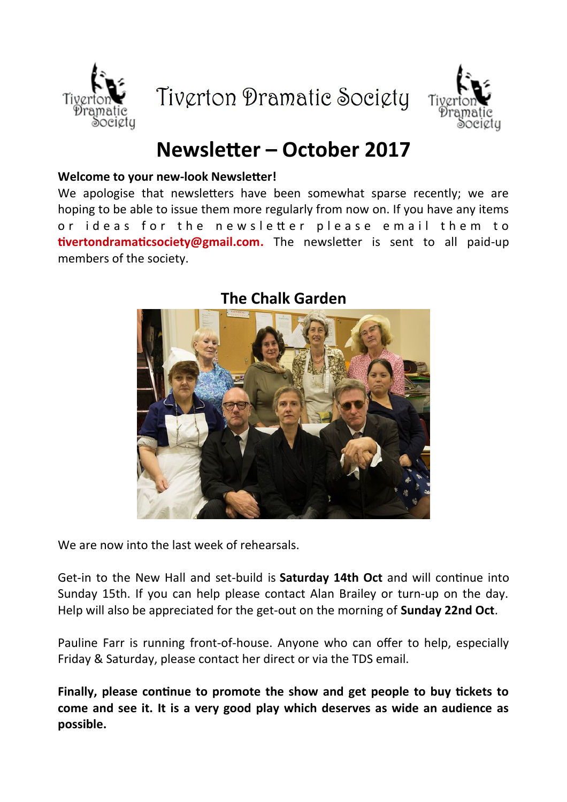





# **Newsleter – October 2017**

#### **Welcome to your new-look Newsleter!**

We apologise that newsletters have been somewhat sparse recently; we are hoping to be able to issue them more regularly from now on. If you have any items or ideas for the new sletter please email them to **tivertondramaticsociety@gmail.com.** The newsletter is sent to all paid-up members of the society.



# **The Chalk Garden**

We are now into the last week of rehearsals.

Get-in to the New Hall and set-build is **Saturday 14th Oct** and will contnue into Sunday 15th. If you can help please contact Alan Brailey or turn-up on the day. Help will also be appreciated for the get-out on the morning of **Sunday 22nd Oct**.

Pauline Farr is running front-of-house. Anyone who can offer to help, especially Friday & Saturday, please contact her direct or via the TDS email.

Finally, please continue to promote the show and get people to buy tickets to **come and see it. It is a very good play which deserves as wide an audience as possible.**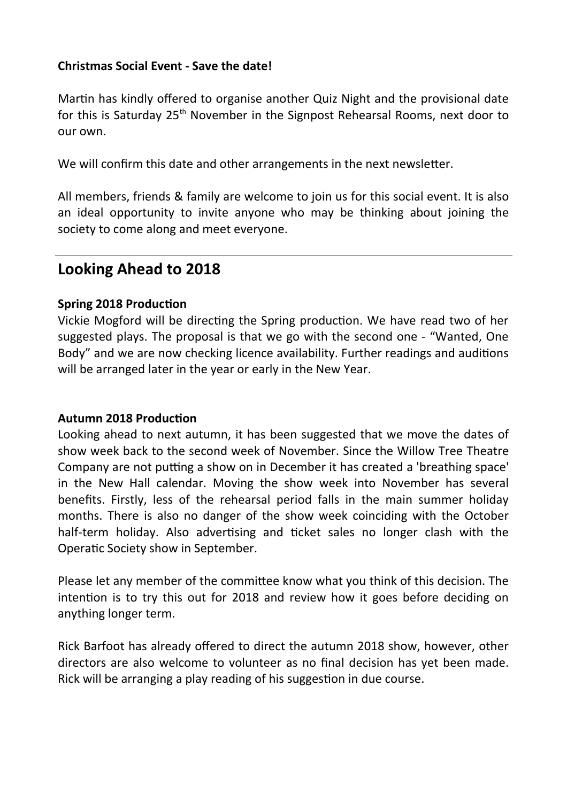#### **Christmas Social Event - Save the date!**

Martin has kindly offered to organise another Quiz Night and the provisional date for this is Saturday  $25<sup>th</sup>$  November in the Signpost Rehearsal Rooms, next door to our own.

We will confirm this date and other arrangements in the next newsletter.

All members, friends & family are welcome to join us for this social event. It is also an ideal opportunity to invite anyone who may be thinking about joining the society to come along and meet everyone.

# **Looking Ahead to 2018**

#### **Spring 2018 Production**

Vickie Mogford will be directing the Spring production. We have read two of her suggested plays. The proposal is that we go with the second one - "Wanted, One Body" and we are now checking licence availability. Further readings and auditons will be arranged later in the year or early in the New Year.

#### **Autumn 2018 Production**

Looking ahead to next autumn, it has been suggested that we move the dates of show week back to the second week of November. Since the Willow Tree Theatre Company are not putting a show on in December it has created a 'breathing space' in the New Hall calendar. Moving the show week into November has several benefts. Firstly, less of the rehearsal period falls in the main summer holiday months. There is also no danger of the show week coinciding with the October half-term holiday. Also advertising and ticket sales no longer clash with the Operatic Society show in September.

Please let any member of the commitee know what you think of this decision. The intention is to try this out for 2018 and review how it goes before deciding on anything longer term.

Rick Barfoot has already ofered to direct the autumn 2018 show, however, other directors are also welcome to volunteer as no fnal decision has yet been made. Rick will be arranging a play reading of his suggeston in due course.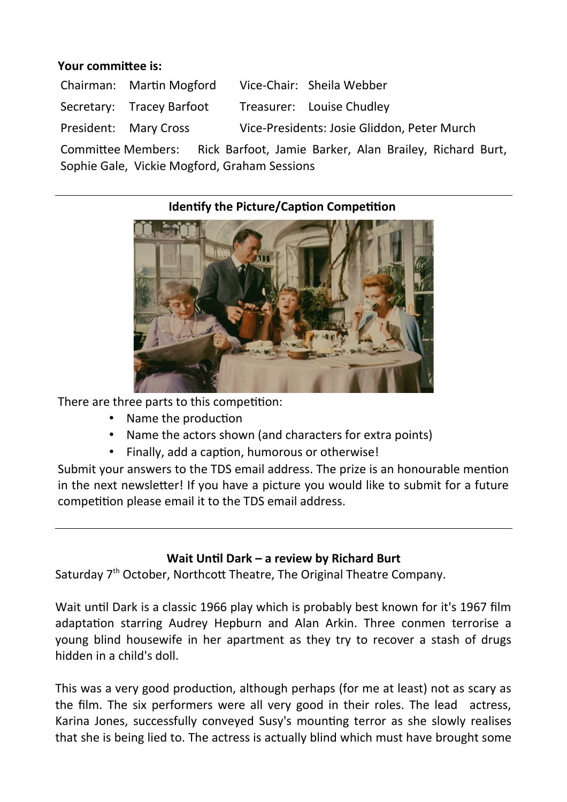#### **Your commitee is:**

| Chairman: Martin Mogford  |                                             | Vice-Chair: Sheila Webber |
|---------------------------|---------------------------------------------|---------------------------|
| Secretary: Tracey Barfoot |                                             | Treasurer: Louise Chudley |
| President: Mary Cross     | Vice-Presidents: Josie Gliddon, Peter Murch |                           |

Commitee Members: Rick Barfoot, Jamie Barker, Alan Brailey, Richard Burt, Sophie Gale, Vickie Mogford, Graham Sessions

## **Identify the Picture/Caption Competition**



There are three parts to this competition:

- Name the production
- Name the actors shown (and characters for extra points)
- Finally, add a caption, humorous or otherwise!

Submit your answers to the TDS email address. The prize is an honourable menton in the next newsleter! If you have a picture you would like to submit for a future competition please email it to the TDS email address.

## Wait Until Dark – a review by Richard Burt

Saturday 7<sup>th</sup> October, Northcott Theatre, The Original Theatre Company.

Wait until Dark is a classic 1966 play which is probably best known for it's 1967 film adaptation starring Audrey Hepburn and Alan Arkin. Three conmen terrorise a young blind housewife in her apartment as they try to recover a stash of drugs hidden in a child's doll.

This was a very good production, although perhaps (for me at least) not as scary as the film. The six performers were all very good in their roles. The lead actress, Karina Jones, successfully conveyed Susy's mountng terror as she slowly realises that she is being lied to. The actress is actually blind which must have brought some